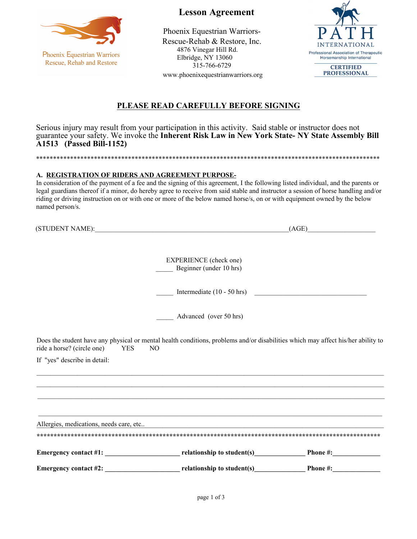

Phoenix Equestrian Warriors Rescue, Rehab and Restore

 **Lesson Agreement**

Phoenix Equestrian Warriors-Rescue-Rehab & Restore, Inc. 4876 Vinegar Hill Rd. Elbridge, NY 13060 315-766-6729 www.phoenixequestrianwarriors.org



# **PLEASE READ CAREFULLY BEFORE SIGNING**

Serious injury may result from your participation in this activity. Said stable or instructor does not guarantee your safety. We invoke the **Inherent Risk Law in New York State- NY State Assembly Bill A1513 (Passed Bill-1152)**

\*\*\*\*\*\*\*\*\*\*\*\*\*\*\*\*\*\*\*\*\*\*\*\*\*\*\*\*\*\*\*\*\*\*\*\*\*\*\*\*\*\*\*\*\*\*\*\*\*\*\*\*\*\*\*\*\*\*\*\*\*\*\*\*\*\*\*\*\*\*\*\*\*\*\*\*\*\*\*\*\*\*\*\*\*\*\*\*\*\*\*\*\*\*\*\*\*\*\*\*\*

# **A. REGISTRATION OF RIDERS AND AGREEMENT PURPOSE-**

In consideration of the payment of a fee and the signing of this agreement, I the following listed individual, and the parents or legal guardians thereof if a minor, do hereby agree to receive from said stable and instructor a session of horse handling and/or riding or driving instruction on or with one or more of the below named horse/s, on or with equipment owned by the below named person/s.

|                                |                                                                                                                                                    | (AGE) |  |  |
|--------------------------------|----------------------------------------------------------------------------------------------------------------------------------------------------|-------|--|--|
|                                |                                                                                                                                                    |       |  |  |
|                                | <b>EXPERIENCE</b> (check one)<br>Beginner (under 10 hrs)                                                                                           |       |  |  |
|                                |                                                                                                                                                    |       |  |  |
|                                | Intermediate $(10 - 50 \text{ hrs})$                                                                                                               |       |  |  |
|                                | Advanced (over 50 hrs)                                                                                                                             |       |  |  |
|                                |                                                                                                                                                    |       |  |  |
| ride a horse? (circle one) YES | Does the student have any physical or mental health conditions, problems and/or disabilities which may affect his/her ability to<br>N <sub>O</sub> |       |  |  |
| If "yes" describe in detail:   |                                                                                                                                                    |       |  |  |
|                                | ,我们也不能在这里的人,我们也不能在这里的人,我们也不能在这里的人,我们也不能在这里的人,我们也不能在这里的人,我们也不能在这里的人,我们也不能在这里的人,我们也                                                                  |       |  |  |
|                                |                                                                                                                                                    |       |  |  |
|                                | ,我们也不能在这里的时候,我们也不能在这里的时候,我们也不能在这里的时候,我们也不能会在这里的时候,我们也不能会在这里的时候,我们也不能会在这里的时候,我们也不能                                                                  |       |  |  |
|                                | Allergies, medications, needs care, etc                                                                                                            |       |  |  |
|                                |                                                                                                                                                    |       |  |  |
|                                | Emergency contact #1: relationship to student(s) Phone #:                                                                                          |       |  |  |
|                                | Emergency contact #2: relationship to student(s) Phone #:                                                                                          |       |  |  |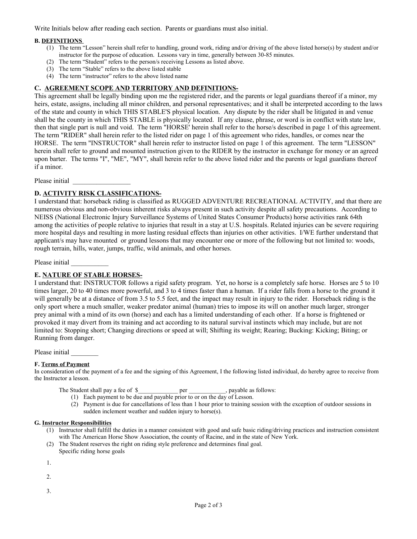Write Initials below after reading each section. Parents or guardians must also initial.

## **B. DEFINITIONS**

- (1) The term "Lesson" herein shall refer to handling, ground work, riding and/or driving of the above listed horse(s) by student and/or instructor for the purpose of education. Lessons vary in time, generally between 30-85 minutes.
- (2) The term "Student" refers to the person/s receiving Lessons as listed above.
- (3) The term "Stable" refers to the above listed stable
- (4) The term "instructor" refers to the above listed name

## **C. AGREEMENT SCOPE AND TERRITORY AND DEFINITIONS-**

This agreement shall be legally binding upon me the registered rider, and the parents or legal guardians thereof if a minor, my heirs, estate, assigns, including all minor children, and personal representatives; and it shall be interpreted according to the laws of the state and county in which THIS STABLE'S physical location. Any dispute by the rider shall be litigated in and venue shall be the county in which THIS STABLE is physically located. If any clause, phrase, or word is in conflict with state law, then that single part is null and void. The term "HORSE' herein shall refer to the horse/s described in page 1 of this agreement. The term "RIDER" shall herein refer to the listed rider on page 1 of this agreement who rides, handles, or comes near the HORSE. The term "INSTRUCTOR" shall herein refer to instructor listed on page 1 of this agreement. The term "LESSON" herein shall refer to ground and mounted instruction given to the RIDER by the instructor in exchange for money or an agreed upon barter. The terms "I", "ME", "MY", shall herein refer to the above listed rider and the parents or legal guardians thereof if a minor.

Please initial

# **D. ACTIVITY RISK CLASSIFICATIONS-**

I understand that: horseback riding is classified as RUGGED ADVENTURE RECREATIONAL ACTIVITY, and that there are numerous obvious and non-obvious inherent risks always present in such activity despite all safety precautions. According to NEISS (National Electronic Injury Surveillance Systems of United States Consumer Products) horse activities rank 64th among the activities of people relative to injuries that result in a stay at U.S. hospitals. Related injuries can be severe requiring more hospital days and resulting in more lasting residual effects than injuries on other activities. I/WE further understand that applicant/s may have mounted or ground lessons that may encounter one or more of the following but not limited to: woods, rough terrain, hills, water, jumps, traffic, wild animals, and other horses.

Please initial

# **E. NATURE OF STABLE HORSES-**

I understand that: INSTRUCTOR follows a rigid safety program. Yet, no horse is a completely safe horse. Horses are 5 to 10 times larger, 20 to 40 times more powerful, and 3 to 4 times faster than a human. If a rider falls from a horse to the ground it will generally be at a distance of from 3.5 to 5.5 feet, and the impact may result in injury to the rider. Horseback riding is the only sport where a much smaller, weaker predator animal (human) tries to impose its will on another much larger, stronger prey animal with a mind of its own (horse) and each has a limited understanding of each other. If a horse is frightened or provoked it may divert from its training and act according to its natural survival instincts which may include, but are not limited to: Stopping short; Changing directions or speed at will; Shifting its weight; Rearing; Bucking: Kicking; Biting; or Running from danger.

Please initial

#### **F. Terms of Payment**

In consideration of the payment of a fee and the signing of this Agreement, I the following listed individual, do hereby agree to receive from the Instructor a lesson.

| The Student shall pay a fee of \$ | per | , payable as follows: |
|-----------------------------------|-----|-----------------------|
|-----------------------------------|-----|-----------------------|

- (1) Each payment to be due and payable prior to or on the day of Lesson.
- (2) Payment is due for cancellations of less than 1 hour prior to training session with the exception of outdoor sessions in sudden inclement weather and sudden injury to horse(s).

## **G. Instructor Responsibilities**

- (1) Instructor shall fulfill the duties in a manner consistent with good and safe basic riding/driving practices and instruction consistent with The American Horse Show Association, the county of Racine, and in the state of New York.
- (2) The Student reserves the right on riding style preference and determines final goal.
- Specific riding horse goals

1.

- 2.
- 
- 3.